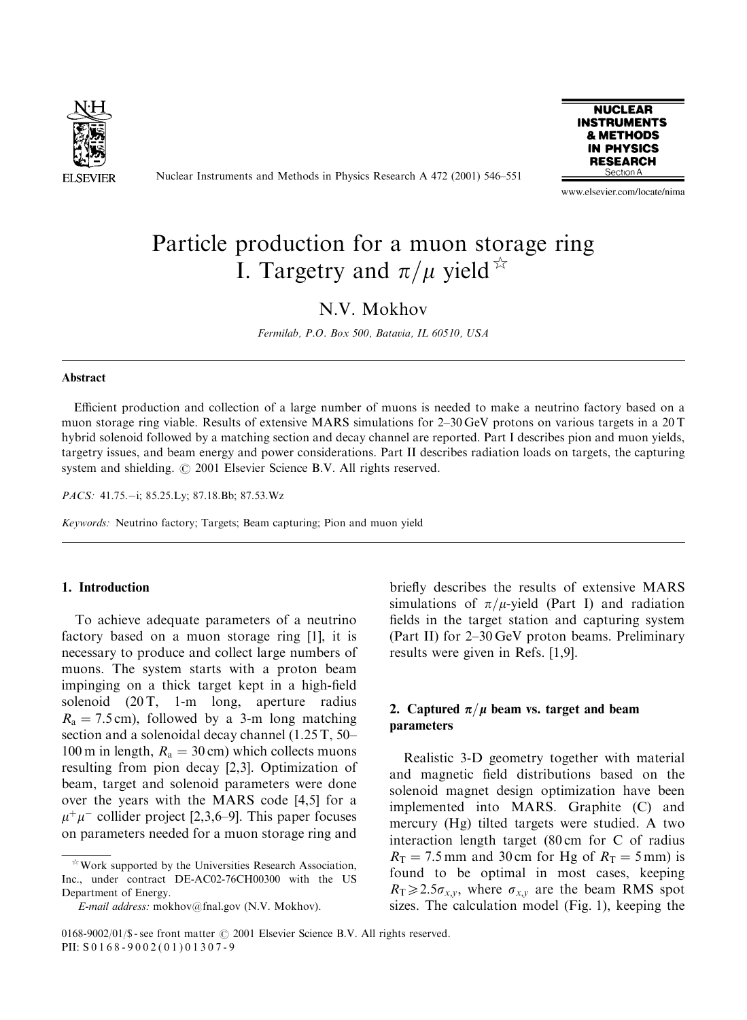

Nuclear Instruments and Methods in Physics Research A 472 (2001) 546–551



www.elsevier.com/locate/nima

# Particle production for a muon storage ring I. Targetry and  $\pi/\mu$  yield  $\overrightarrow{x}$

# N.V. Mokhov

Fermilab, P.O. Box 500, Batavia, IL 60510, USA

### Abstract

Efficient production and collection of a large number of muons is needed to make a neutrino factory based on a muon storage ring viable. Results of extensive MARS simulations for 2–30 GeV protons on various targets in a 20 T hybrid solenoid followed by a matching section and decay channel are reported. Part I describes pion and muon yields, targetry issues, and beam energy and power considerations. Part II describes radiation loads on targets, the capturing system and shielding.  $\odot$  2001 Elsevier Science B.V. All rights reserved.

PACS: 41.75.-i; 85.25.Ly; 87.18.Bb; 87.53.Wz

Keywords: Neutrino factory; Targets; Beam capturing; Pion and muon yield

## 1. Introduction

To achieve adequate parameters of a neutrino factory based on a muon storage ring [1], it is necessary to produce and collect large numbers of muons. The system starts with a proton beam impinging on a thick target kept in a high-field solenoid (20 T, 1-m long, aperture radius  $R_a = 7.5$  cm), followed by a 3-m long matching section and a solenoidal decay channel (1.25 T, 50– 100 m in length,  $R_a = 30$  cm) which collects muons resulting from pion decay [2,3]. Optimization of beam, target and solenoid parameters were done over the years with the MARS code [4,5] for a  $\mu^+\mu^-$  collider project [2,3,6–9]. This paper focuses on parameters needed for a muon storage ring and

briefly describes the results of extensive MARS simulations of  $\pi/\mu$ -yield (Part I) and radiation fields in the target station and capturing system (Part II) for 2–30 GeV proton beams. Preliminary results were given in Refs. [1,9].

# 2. Captured  $\pi/\mu$  beam vs. target and beam parameters

Realistic 3-D geometry together with material and magnetic field distributions based on the solenoid magnet design optimization have been implemented into MARS. Graphite (C) and mercury (Hg) tilted targets were studied. A two interaction length target (80 cm for C of radius  $R_T = 7.5$  mm and 30 cm for Hg of  $R_T = 5$  mm) is found to be optimal in most cases, keeping  $R_{\text{T}} \geq 2.5\sigma_{x,y}$ , where  $\sigma_{x,y}$  are the beam RMS spot sizes. The calculation model (Fig. 1), keeping the

 $*$ Work supported by the Universities Research Association, Inc., under contract DE-AC02-76CH00300 with the US Department of Energy.

E-mail address: mokhov@fnal.gov (N.V. Mokhov).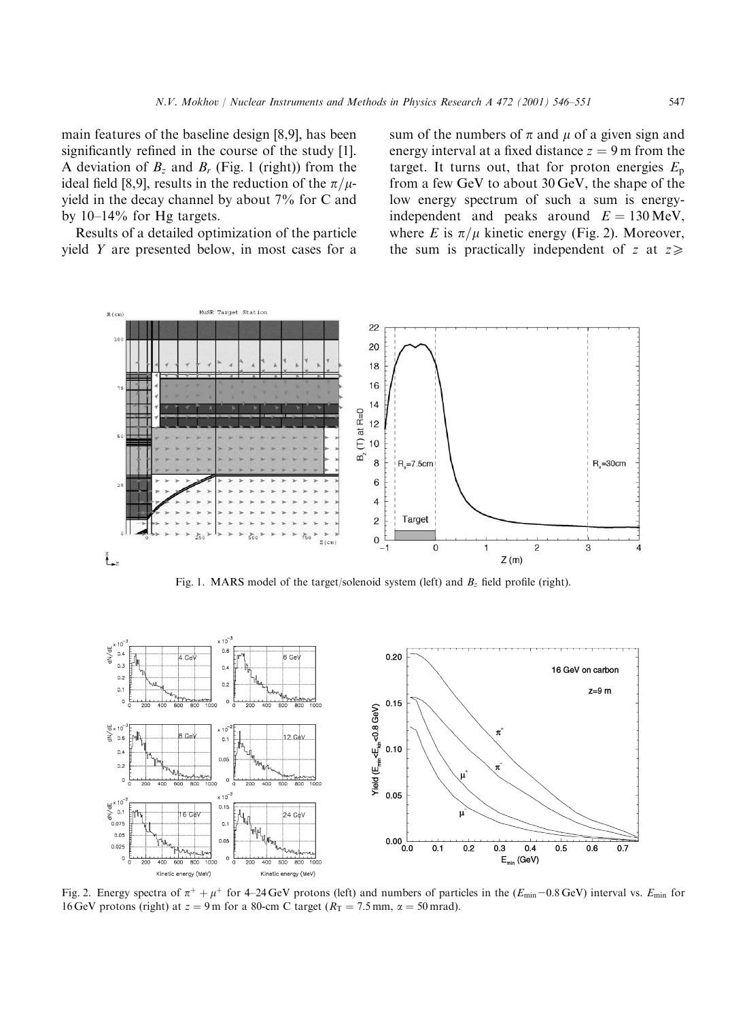main features of the baseline design [8,9], has been significantly refined in the course of the study [1]. A deviation of  $B_z$  and  $B_r$  (Fig. 1 (right)) from the ideal field [8,9], results in the reduction of the  $\pi/\mu$ yield in the decay channel by about 7% for C and by 10–14% for Hg targets.

Results of a detailed optimization of the particle yield Y are presented below, in most cases for a sum of the numbers of  $\pi$  and  $\mu$  of a given sign and energy interval at a fixed distance  $z = 9$  m from the target. It turns out, that for proton energies  $E_p$ from a few GeV to about 30 GeV, the shape of the low energy spectrum of such a sum is energyindependent and peaks around  $E = 130 \text{ MeV}$ , where E is  $\pi/\mu$  kinetic energy (Fig. 2). Moreover, the sum is practically independent of z at  $z\geq$ 



Fig. 1. MARS model of the target/solenoid system (left) and  $B_z$  field profile (right).



Fig. 2. Energy spectra of  $\pi^+ + \mu^+$  for 4–24 GeV protons (left) and numbers of particles in the ( $E_{\text{min}}$  –0.8 GeV) interval vs.  $E_{\text{min}}$  for 16 GeV protons (right) at  $z = 9$  m for a 80-cm C target ( $R_T = 7.5$  mm,  $\alpha = 50$  mrad).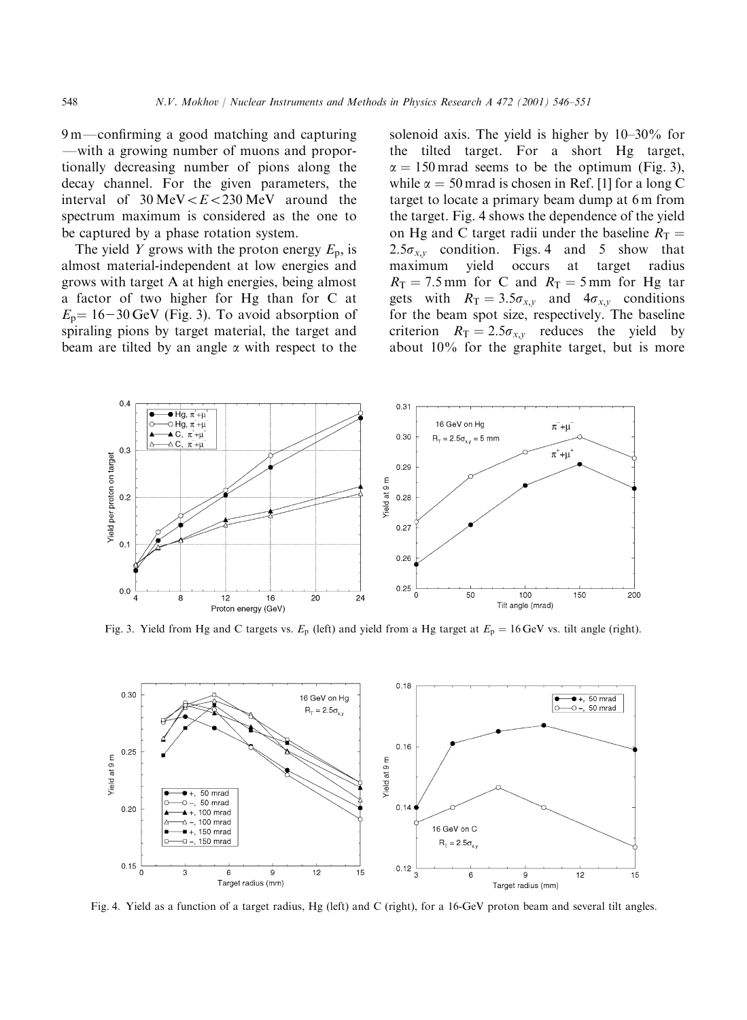$9 \text{ m—confirming a good matching and capturing}$ —with a growing number of muons and proportionally decreasing number of pions along the decay channel. For the given parameters, the interval of  $30 \text{ MeV} < E < 230 \text{ MeV}$  around the spectrum maximum is considered as the one to be captured by a phase rotation system.

The yield Y grows with the proton energy  $E_p$ , is almost material-independent at low energies and grows with target A at high energies, being almost a factor of two higher for Hg than for C at  $E_p = 16-30 \,\text{GeV}$  (Fig. 3). To avoid absorption of spiraling pions by target material, the target and beam are tilted by an angle  $\alpha$  with respect to the

solenoid axis. The yield is higher by 10–30% for the tilted target. For a short Hg target,  $\alpha = 150$  mrad seems to be the optimum (Fig. 3), while  $\alpha = 50$  mrad is chosen in Ref. [1] for a long C target to locate a primary beam dump at 6 m from the target. Fig. 4 shows the dependence of the yield on Hg and C target radii under the baseline  $R_T =$ 2.5 $\sigma_{x,y}$  condition. Figs. 4 and 5 show that maximum yield occurs at target radius  $R_T = 7.5$  mm for C and  $R_T = 5$  mm for Hg tar gets with  $R_{\rm T} = 3.5\sigma_{x,y}$  and  $4\sigma_{x,y}$  conditions for the beam spot size, respectively. The baseline criterion  $R_{\text{T}} = 2.5\sigma_{x,y}$  reduces the yield by about 10% for the graphite target, but is more



Fig. 3. Yield from Hg and C targets vs.  $E_p$  (left) and yield from a Hg target at  $E_p = 16 \text{ GeV}$  vs. tilt angle (right).



Fig. 4. Yield as a function of a target radius, Hg (left) and C (right), for a 16-GeV proton beam and several tilt angles.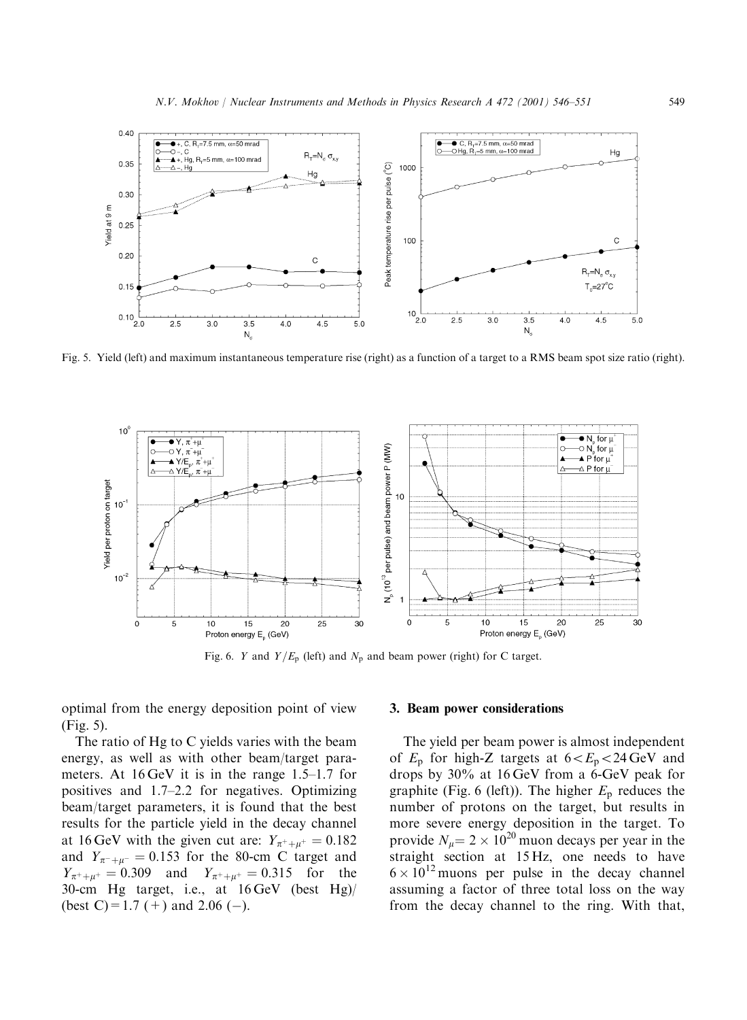

Fig. 5. Yield (left) and maximum instantaneous temperature rise (right) as a function of a target to a RMS beam spot size ratio (right).



Fig. 6. Y and  $Y/E_p$  (left) and  $N_p$  and beam power (right) for C target.

optimal from the energy deposition point of view (Fig. 5).

The ratio of Hg to C yields varies with the beam energy, as well as with other beam/target parameters. At 16 GeV it is in the range 1.5–1.7 for positives and 1.7–2.2 for negatives. Optimizing beam/target parameters, it is found that the best results for the particle yield in the decay channel at 16 GeV with the given cut are:  $Y_{\pi^+ + \mu^+} = 0.182$ and  $Y_{\pi^-+\mu^-} = 0.153$  for the 80-cm C target and  $Y_{\pi^+ + \mu^+} = 0.309$  and  $Y_{\pi^+ + \mu^+} = 0.315$  for the 30-cm Hg target, i.e., at 16 GeV (best Hg)/ (best C) = 1.7 (+) and 2.06 (-).

#### 3. Beam power considerations

The yield per beam power is almost independent of  $E_p$  for high-Z targets at  $6 < E_p < 24$  GeV and drops by 30% at 16 GeV from a 6-GeV peak for graphite (Fig. 6 (left)). The higher  $E_p$  reduces the number of protons on the target, but results in more severe energy deposition in the target. To provide  $N_\mu = 2 \times 10^{20}$  muon decays per year in the straight section at 15 Hz, one needs to have  $6 \times 10^{12}$  muons per pulse in the decay channel assuming a factor of three total loss on the way from the decay channel to the ring. With that,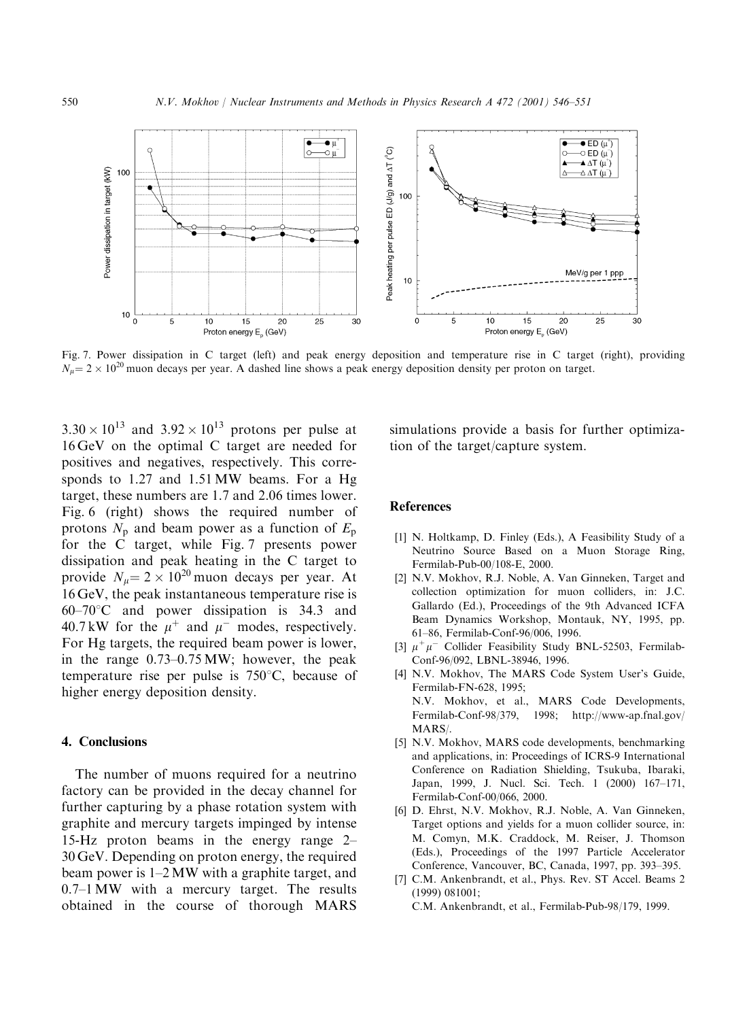

Fig. 7. Power dissipation in C target (left) and peak energy deposition and temperature rise in C target (right), providing  $N<sub>u</sub> = 2 \times 10<sup>20</sup>$  muon decays per year. A dashed line shows a peak energy deposition density per proton on target.

 $3.30 \times 10^{13}$  and  $3.92 \times 10^{13}$  protons per pulse at 16 GeV on the optimal C target are needed for positives and negatives, respectively. This corresponds to 1.27 and 1.51 MW beams. For a Hg target, these numbers are 1.7 and 2.06 times lower. Fig. 6 (right) shows the required number of protons  $N_p$  and beam power as a function of  $E_p$ for the C target, while Fig. 7 presents power dissipation and peak heating in the C target to provide  $N_{\mu} = 2 \times 10^{20}$  muon decays per year. At 16 GeV, the peak instantaneous temperature rise is  $60-70$ <sup>o</sup>C and power dissipation is 34.3 and 40.7 kW for the  $\mu^+$  and  $\mu^-$  modes, respectively. For Hg targets, the required beam power is lower, in the range 0.73–0.75 MW; however, the peak temperature rise per pulse is  $750^{\circ}$ C, because of higher energy deposition density.

## 4. Conclusions

The number of muons required for a neutrino factory can be provided in the decay channel for further capturing by a phase rotation system with graphite and mercury targets impinged by intense 15-Hz proton beams in the energy range 2– 30 GeV. Depending on proton energy, the required beam power is 1–2 MW with a graphite target, and 0.7–1 MW with a mercury target. The results obtained in the course of thorough MARS simulations provide a basis for further optimization of the target/capture system.

#### **References**

- [1] N. Holtkamp, D. Finley (Eds.), A Feasibility Study of a Neutrino Source Based on a Muon Storage Ring, Fermilab-Pub-00/108-E, 2000.
- [2] N.V. Mokhov, R.J. Noble, A. Van Ginneken, Target and collection optimization for muon colliders, in: J.C. Gallardo (Ed.), Proceedings of the 9th Advanced ICFA Beam Dynamics Workshop, Montauk, NY, 1995, pp. 61–86, Fermilab-Conf-96/006, 1996.
- [3]  $\mu^+\mu^-$  Collider Feasibility Study BNL-52503, Fermilab-Conf-96/092, LBNL-38946, 1996.
- [4] N.V. Mokhov, The MARS Code System User's Guide, Fermilab-FN-628, 1995; N.V. Mokhov, et al., MARS Code Developments, Fermilab-Conf-98/379, 1998; http://www-ap.fnal.gov/ MARS/.
- [5] N.V. Mokhov, MARS code developments, benchmarking and applications, in: Proceedings of ICRS-9 International Conference on Radiation Shielding, Tsukuba, Ibaraki, Japan, 1999, J. Nucl. Sci. Tech. 1 (2000) 167–171, Fermilab-Conf-00/066, 2000.
- [6] D. Ehrst, N.V. Mokhov, R.J. Noble, A. Van Ginneken, Target options and yields for a muon collider source, in: M. Comyn, M.K. Craddock, M. Reiser, J. Thomson (Eds.), Proceedings of the 1997 Particle Accelerator Conference, Vancouver, BC, Canada, 1997, pp. 393–395.
- [7] C.M. Ankenbrandt, et al., Phys. Rev. ST Accel. Beams 2 (1999) 081001;